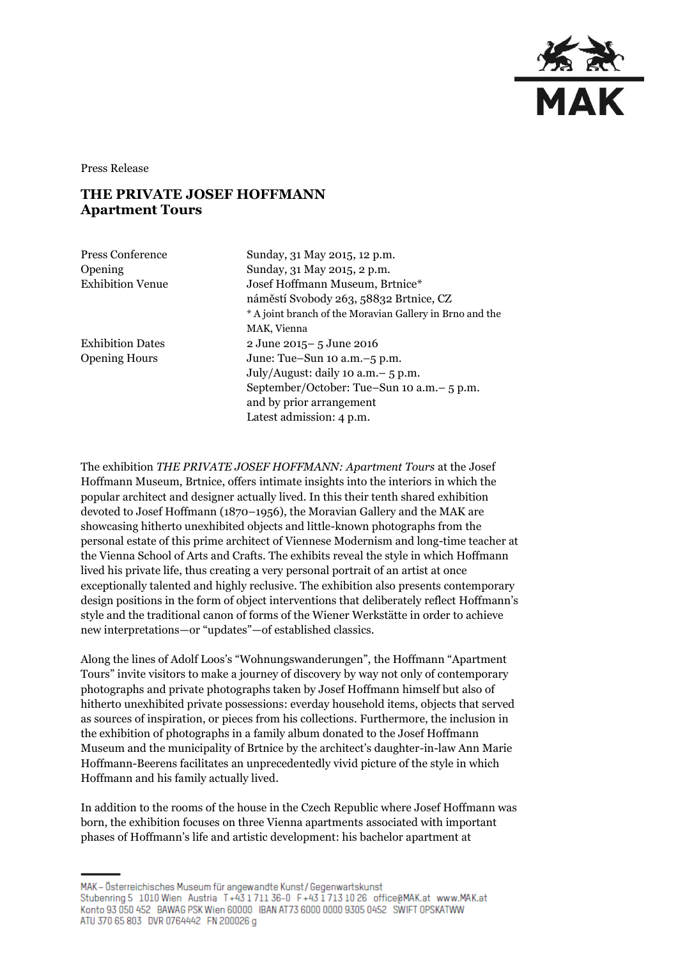

Press Release

## **THE PRIVATE JOSEF HOFFMANN Apartment Tours**

| Sunday, 31 May 2015, 12 p.m.                             |
|----------------------------------------------------------|
| Sunday, 31 May 2015, 2 p.m.                              |
| Josef Hoffmann Museum, Brtnice*                          |
| náměstí Svobody 263, 58832 Brtnice, CZ                   |
| * A joint branch of the Moravian Gallery in Brno and the |
| MAK, Vienna                                              |
| 2 June 2015-5 June 2016                                  |
| June: Tue-Sun 10 a.m. -5 p.m.                            |
| July/August: daily 10 a.m. $-5$ p.m.                     |
| September/October: Tue–Sun 10 a.m.– 5 p.m.               |
| and by prior arrangement                                 |
| Latest admission: 4 p.m.                                 |
|                                                          |

The exhibition *THE PRIVATE JOSEF HOFFMANN: Apartment Tours* at the Josef Hoffmann Museum, Brtnice, offers intimate insights into the interiors in which the popular architect and designer actually lived. In this their tenth shared exhibition devoted to Josef Hoffmann (1870–1956), the Moravian Gallery and the MAK are showcasing hitherto unexhibited objects and little-known photographs from the personal estate of this prime architect of Viennese Modernism and long-time teacher at the Vienna School of Arts and Crafts. The exhibits reveal the style in which Hoffmann lived his private life, thus creating a very personal portrait of an artist at once exceptionally talented and highly reclusive. The exhibition also presents contemporary design positions in the form of object interventions that deliberately reflect Hoffmann's style and the traditional canon of forms of the Wiener Werkstätte in order to achieve new interpretations—or "updates"—of established classics.

Along the lines of Adolf Loos's "Wohnungswanderungen", the Hoffmann "Apartment Tours" invite visitors to make a journey of discovery by way not only of contemporary photographs and private photographs taken by Josef Hoffmann himself but also of hitherto unexhibited private possessions: everday household items, objects that served as sources of inspiration, or pieces from his collections. Furthermore, the inclusion in the exhibition of photographs in a family album donated to the Josef Hoffmann Museum and the municipality of Brtnice by the architect's daughter-in-law Ann Marie Hoffmann-Beerens facilitates an unprecedentedly vivid picture of the style in which Hoffmann and his family actually lived.

In addition to the rooms of the house in the Czech Republic where Josef Hoffmann was born, the exhibition focuses on three Vienna apartments associated with important phases of Hoffmann's life and artistic development: his bachelor apartment at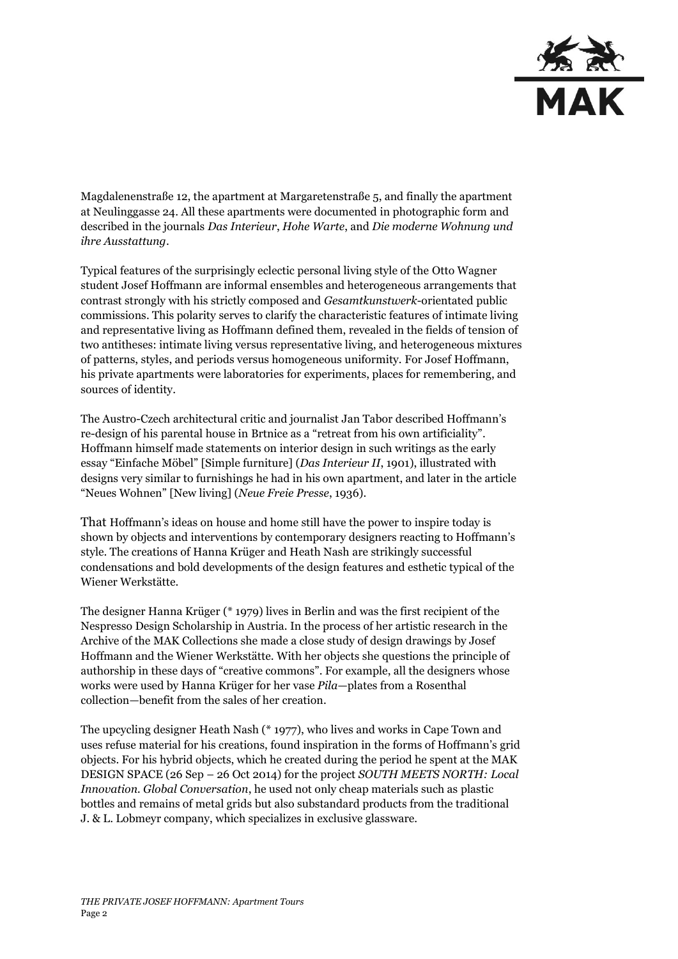

Magdalenenstraße 12, the apartment at Margaretenstraße 5, and finally the apartment at Neulinggasse 24. All these apartments were documented in photographic form and described in the journals *Das Interieur*, *Hohe Warte*, and *Die moderne Wohnung und ihre Ausstattung*.

Typical features of the surprisingly eclectic personal living style of the Otto Wagner student Josef Hoffmann are informal ensembles and heterogeneous arrangements that contrast strongly with his strictly composed and *Gesamtkunstwerk*-orientated public commissions. This polarity serves to clarify the characteristic features of intimate living and representative living as Hoffmann defined them, revealed in the fields of tension of two antitheses: intimate living versus representative living, and heterogeneous mixtures of patterns, styles, and periods versus homogeneous uniformity. For Josef Hoffmann, his private apartments were laboratories for experiments, places for remembering, and sources of identity.

The Austro-Czech architectural critic and journalist Jan Tabor described Hoffmann's re-design of his parental house in Brtnice as a "retreat from his own artificiality". Hoffmann himself made statements on interior design in such writings as the early essay "Einfache Möbel" [Simple furniture] (*Das Interieur II*, 1901), illustrated with designs very similar to furnishings he had in his own apartment, and later in the article "Neues Wohnen" [New living] (*Neue Freie Presse*, 1936).

That Hoffmann's ideas on house and home still have the power to inspire today is shown by objects and interventions by contemporary designers reacting to Hoffmann's style. The creations of Hanna Krüger and Heath Nash are strikingly successful condensations and bold developments of the design features and esthetic typical of the Wiener Werkstätte.

The designer Hanna Krüger (\* 1979) lives in Berlin and was the first recipient of the Nespresso Design Scholarship in Austria. In the process of her artistic research in the Archive of the MAK Collections she made a close study of design drawings by Josef Hoffmann and the Wiener Werkstätte. With her objects she questions the principle of authorship in these days of "creative commons". For example, all the designers whose works were used by Hanna Krüger for her vase *Pila*—plates from a Rosenthal collection—benefit from the sales of her creation.

The upcycling designer Heath Nash (\* 1977), who lives and works in Cape Town and uses refuse material for his creations, found inspiration in the forms of Hoffmann's grid objects. For his hybrid objects, which he created during the period he spent at the MAK DESIGN SPACE (26 Sep – 26 Oct 2014) for the project *SOUTH MEETS NORTH: Local Innovation. Global Conversation*, he used not only cheap materials such as plastic bottles and remains of metal grids but also substandard products from the traditional J. & L. Lobmeyr company, which specializes in exclusive glassware.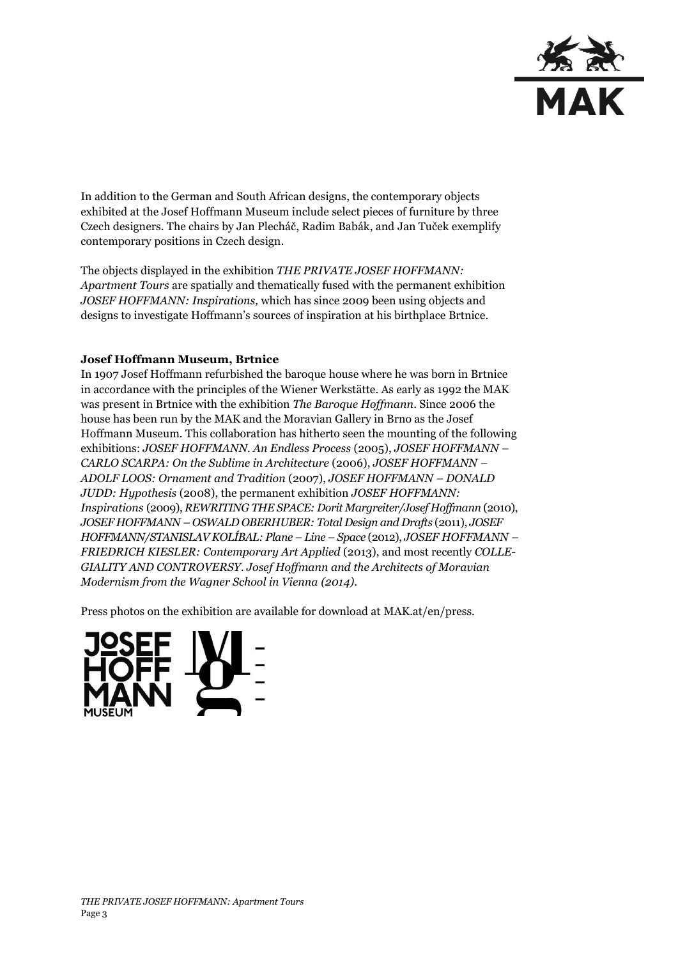

In addition to the German and South African designs, the contemporary objects exhibited at the Josef Hoffmann Museum include select pieces of furniture by three Czech designers. The chairs by Jan Plecháč, Radim Babák, and Jan Tuček exemplify contemporary positions in Czech design.

The objects displayed in the exhibition *THE PRIVATE JOSEF HOFFMANN: Apartment Tours* are spatially and thematically fused with the permanent exhibition *JOSEF HOFFMANN: Inspirations,* which has since 2009 been using objects and designs to investigate Hoffmann's sources of inspiration at his birthplace Brtnice.

## **Josef Hoffmann Museum, Brtnice**

In 1907 Josef Hoffmann refurbished the baroque house where he was born in Brtnice in accordance with the principles of the Wiener Werkstätte. As early as 1992 the MAK was present in Brtnice with the exhibition *The Baroque Hoffmann*. Since 2006 the house has been run by the MAK and the Moravian Gallery in Brno as the Josef Hoffmann Museum. This collaboration has hitherto seen the mounting of the following exhibitions: *JOSEF HOFFMANN. An Endless Process* (2005), *JOSEF HOFFMANN – CARLO SCARPA: On the Sublime in Architecture* (2006), *JOSEF HOFFMANN – ADOLF LOOS: Ornament and Tradition* (2007), *JOSEF HOFFMANN – DONALD JUDD: Hypothesis* (2008), the permanent exhibition *JOSEF HOFFMANN: Inspirations* (2009), *REWRITING THE SPACE: Dorit Margreiter/Josef Hoffmann* (2010), *JOSEF HOFFMANN – OSWALD OBERHUBER: Total Design and Drafts* (2011), *JOSEF HOFFMANN/STANISLAV KOLÍBAL: Plane – Line – Space* (2012), *JOSEF HOFFMANN – FRIEDRICH KIESLER: Contemporary Art Applied* (2013), and most recently *COLLE-GIALITY AND CONTROVERSY. Josef Hoffmann and the Architects of Moravian Modernism from the Wagner School in Vienna (2014)*.

Press photos on the exhibition are available for download at MAK.at/en/press.